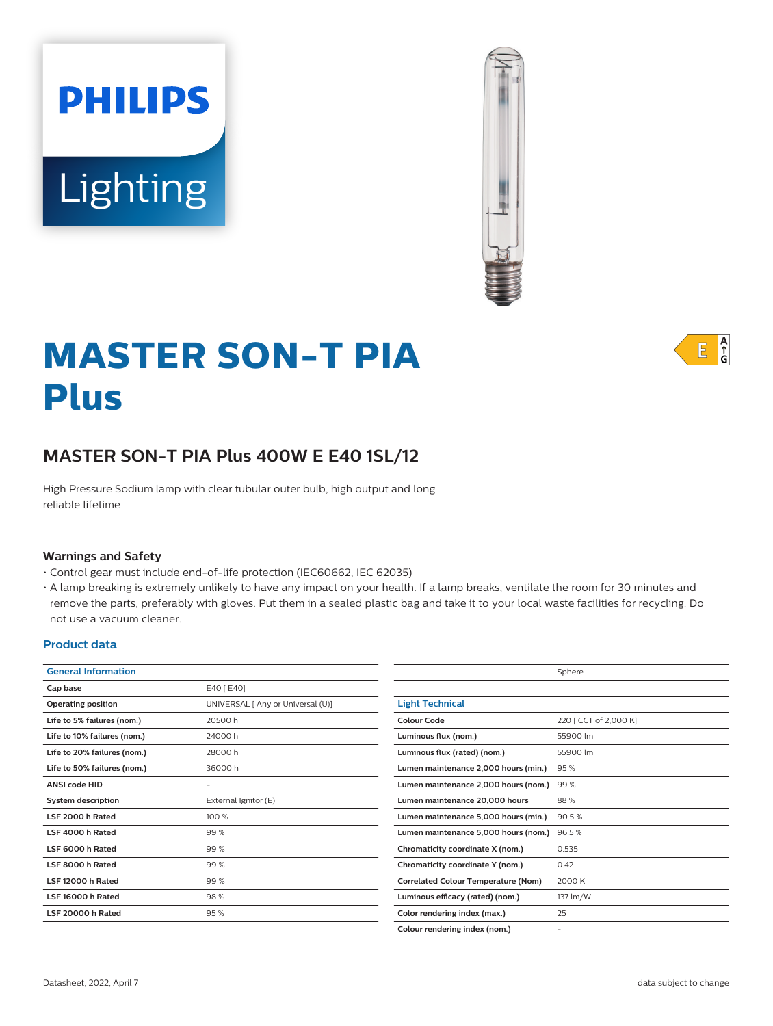



# **MASTER SON-T PIA Plus**

## **MASTER SON-T PIA Plus 400W E E40 1SL/12**

High Pressure Sodium lamp with clear tubular outer bulb, high output and long reliable lifetime

#### **Warnings and Safety**

- Control gear must include end-of-life protection (IEC60662, IEC 62035)
- A lamp breaking is extremely unlikely to have any impact on your health. If a lamp breaks, ventilate the room for 30 minutes and remove the parts, preferably with gloves. Put them in a sealed plastic bag and take it to your local waste facilities for recycling. Do not use a vacuum cleaner.

#### **Product data**

| <b>General Information</b>  |                                   |                                            | Sphere                   |
|-----------------------------|-----------------------------------|--------------------------------------------|--------------------------|
| Cap base                    | E40 [ E40]                        |                                            |                          |
| Operating position          | UNIVERSAL [ Any or Universal (U)] | <b>Light Technical</b>                     |                          |
| Life to 5% failures (nom.)  | 20500h                            | <b>Colour Code</b>                         | 220 [ CCT of 2,000 K]    |
| Life to 10% failures (nom.) | 24000h                            | Luminous flux (nom.)                       | 55900 lm                 |
| Life to 20% failures (nom.) | 28000h                            | Luminous flux (rated) (nom.)               | 55900 lm                 |
| Life to 50% failures (nom.) | 36000h                            | Lumen maintenance 2,000 hours (min.)       | 95%                      |
| <b>ANSI code HID</b>        | ۰                                 | Lumen maintenance 2,000 hours (nom.)       | 99 %                     |
| <b>System description</b>   | External Ignitor (E)              | Lumen maintenance 20,000 hours             | 88%                      |
| LSF 2000 h Rated            | 100 %                             | Lumen maintenance 5,000 hours (min.)       | 90.5%                    |
| LSF 4000 h Rated            | 99%                               | Lumen maintenance 5,000 hours (nom.)       | 96.5%                    |
| LSF 6000 h Rated            | 99%                               | Chromaticity coordinate X (nom.)           | 0.535                    |
| LSF 8000 h Rated            | 99%                               | Chromaticity coordinate Y (nom.)           | 0.42                     |
| LSF 12000 h Rated           | 99%                               | <b>Correlated Colour Temperature (Nom)</b> | 2000 K                   |
| LSF 16000 h Rated           | 98%                               | Luminous efficacy (rated) (nom.)           | 137 lm/W                 |
| LSF 20000 h Rated           | 95%                               | Color rendering index (max.)               | 25                       |
|                             |                                   | Colour rendering index (nom.)              | $\overline{\phantom{a}}$ |

A<br>G<br>G  $E$ 

L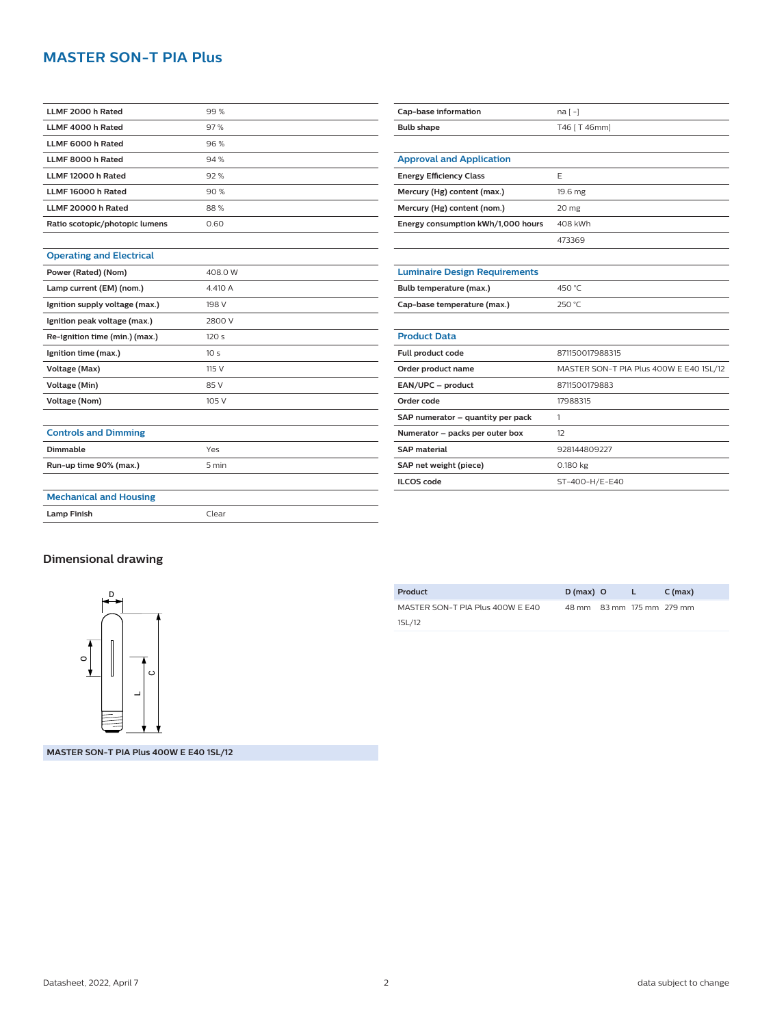## **MASTER SON-T PIA Plus**

| LLMF 2000 h Rated              | 99%  |
|--------------------------------|------|
| LLMF 4000 h Rated              | 97%  |
| LLMF 6000 h Rated              | 96%  |
| LLMF 8000 h Rated              | 94%  |
| LLMF 12000 h Rated             | 92%  |
| LLMF 16000 h Rated             | 90%  |
| LLMF 20000 h Rated             | 88%  |
| Ratio scotopic/photopic lumens | 0.60 |
|                                |      |

| <b>Bulb shape</b>                    | T46 [ T 46mm]    |  |
|--------------------------------------|------------------|--|
|                                      |                  |  |
| <b>Approval and Application</b>      |                  |  |
| <b>Energy Efficiency Class</b>       | E                |  |
| Mercury (Hg) content (max.)          | 19.6 mg          |  |
| Mercury (Hg) content (nom.)          | 20 <sub>mg</sub> |  |
| Energy consumption kWh/1,000 hours   | 408 kWh          |  |
|                                      | 473369           |  |
|                                      |                  |  |
| <b>Luminaire Design Requirements</b> |                  |  |
| Bulb temperature (max.)              | 450 °C           |  |
| Cap-base temperature (max.)          | 250 °C           |  |
|                                      |                  |  |

**Cap-base information** na [ -]

| <b>Product Data</b>               |                                         |
|-----------------------------------|-----------------------------------------|
| Full product code                 | 871150017988315                         |
| Order product name                | MASTER SON-T PIA Plus 400W E E40 1SL/12 |
| EAN/UPC - product                 | 8711500179883                           |
| Order code                        | 17988315                                |
| SAP numerator - quantity per pack |                                         |
| Numerator - packs per outer box   | 12                                      |
| <b>SAP</b> material               | 928144809227                            |
| SAP net weight (piece)            | 0.180 kg                                |
| <b>ILCOS</b> code                 | ST-400-H/E-E40                          |

#### **Mechanical and Housing**

**Controls and Dimming**

**Dimmable** Yes **Run-up time 90% (max.)** 5 min

**Operating and Electrical**

**Power (Rated) (Nom)** 408.0 W **Lamp current (EM) (nom.)** 4.410 A **Ignition supply voltage (max.)** 198 V **Ignition peak voltage (max.)** 2800 V **Re-ignition time (min.) (max.)** 120 s **Ignition time (max.)** 10 s **Voltage (Max)** 115 V **Voltage (Min)** 85 V **Voltage (Nom)** 105 V

| Lamp Finish | . lear<br>. |
|-------------|-------------|
|             |             |

#### **Dimensional drawing**



**Product D (max) O L C (max)** MASTER SON-T PIA Plus 400W E E40 1SL/12 48 mm 83 mm 175 mm 279 mm

**MASTER SON-T PIA Plus 400W E E40 1SL/12**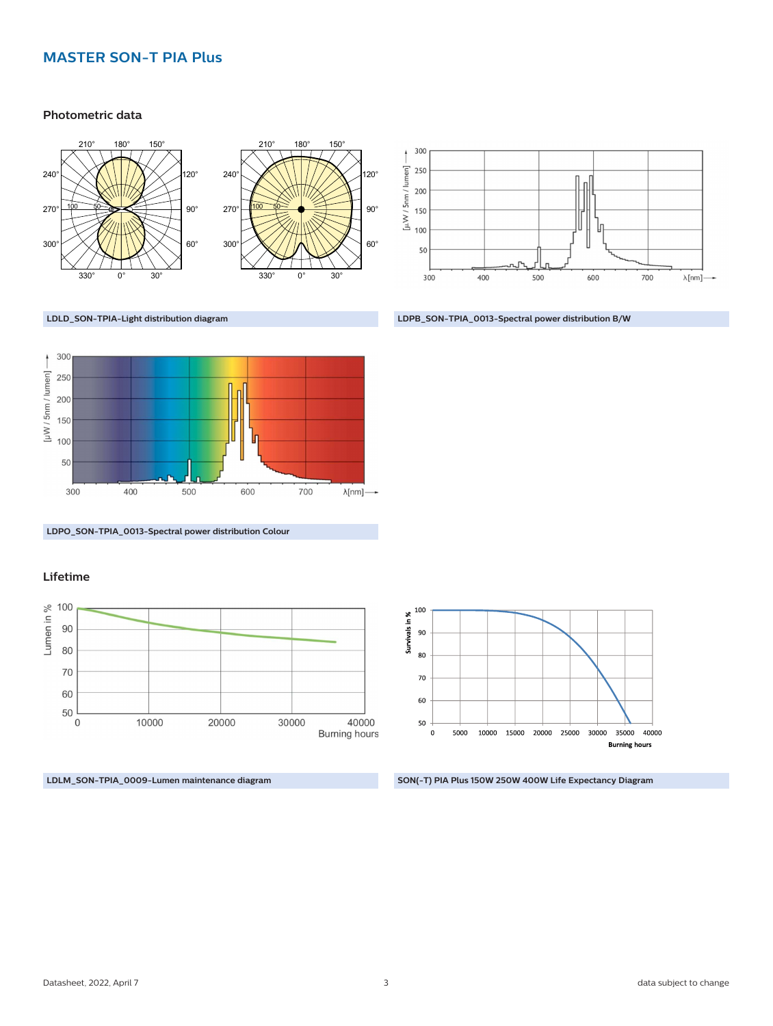## **MASTER SON-T PIA Plus**

#### **Photometric data**





**LDLD\_SON-TPIA-Light distribution diagram LDPB\_SON-TPIA\_0013-Spectral power distribution B/W**



**LDPO\_SON-TPIA\_0013-Spectral power distribution Colour**

#### **Lifetime**



**LDLM\_SON-TPIA\_0009-Lumen maintenance diagram SON(-T) PIA Plus 150W 250W 400W Life Expectancy Diagram**